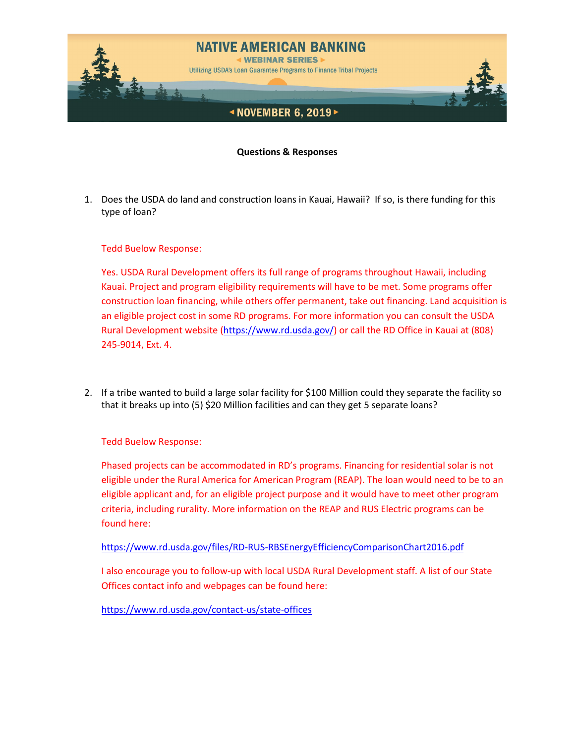

**Questions & Responses**

1. Does the USDA do land and construction loans in Kauai, Hawaii? If so, is there funding for this type of loan?

Tedd Buelow Response:

Yes. USDA Rural Development offers its full range of programs throughout Hawaii, including Kauai. Project and program eligibility requirements will have to be met. Some programs offer construction loan financing, while others offer permanent, take out financing. Land acquisition is an eligible project cost in some RD programs. For more information you can consult the USDA Rural Development website [\(https://www.rd.usda.gov/\)](https://www.rd.usda.gov/) or call the RD Office in Kauai at (808) 245-9014, Ext. 4.

2. If a tribe wanted to build a large solar facility for \$100 Million could they separate the facility so that it breaks up into (5) \$20 Million facilities and can they get 5 separate loans?

Tedd Buelow Response:

Phased projects can be accommodated in RD's programs. Financing for residential solar is not eligible under the Rural America for American Program (REAP). The loan would need to be to an eligible applicant and, for an eligible project purpose and it would have to meet other program criteria, including rurality. More information on the REAP and RUS Electric programs can be found here:

<https://www.rd.usda.gov/files/RD-RUS-RBSEnergyEfficiencyComparisonChart2016.pdf>

I also encourage you to follow-up with local USDA Rural Development staff. A list of our State Offices contact info and webpages can be found here:

<https://www.rd.usda.gov/contact-us/state-offices>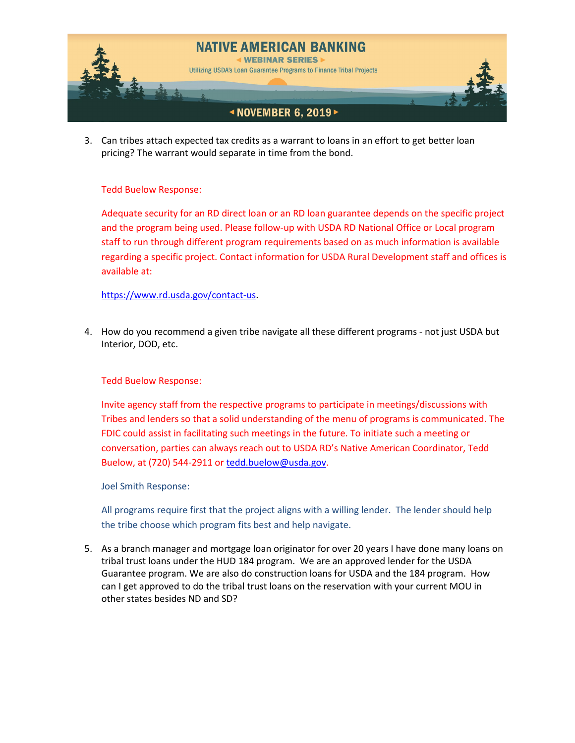

3. Can tribes attach expected tax credits as a warrant to loans in an effort to get better loan pricing? The warrant would separate in time from the bond.

## Tedd Buelow Response:

Adequate security for an RD direct loan or an RD loan guarantee depends on the specific project and the program being used. Please follow-up with USDA RD National Office or Local program staff to run through different program requirements based on as much information is available regarding a specific project. Contact information for USDA Rural Development staff and offices is available at:

## [https://www.rd.usda.gov/contact-us.](https://www.rd.usda.gov/contact-us)

4. How do you recommend a given tribe navigate all these different programs - not just USDA but Interior, DOD, etc.

## Tedd Buelow Response:

Invite agency staff from the respective programs to participate in meetings/discussions with Tribes and lenders so that a solid understanding of the menu of programs is communicated. The FDIC could assist in facilitating such meetings in the future. To initiate such a meeting or conversation, parties can always reach out to USDA RD's Native American Coordinator, Tedd Buelow, at (720) 544-2911 or [tedd.buelow@usda.gov.](mailto:tedd.buelow@usda.gov)

Joel Smith Response:

All programs require first that the project aligns with a willing lender. The lender should help the tribe choose which program fits best and help navigate.

5. As a branch manager and mortgage loan originator for over 20 years I have done many loans on tribal trust loans under the HUD 184 program. We are an approved lender for the USDA Guarantee program. We are also do construction loans for USDA and the 184 program. How can I get approved to do the tribal trust loans on the reservation with your current MOU in other states besides ND and SD?